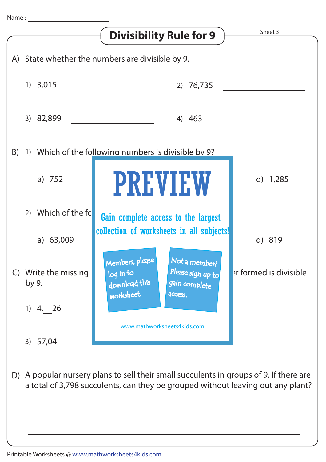

D) A popular nursery plans to sell their small succulents in groups of 9. If there are a total of 3,798 succulents, can they be grouped without leaving out any plant?